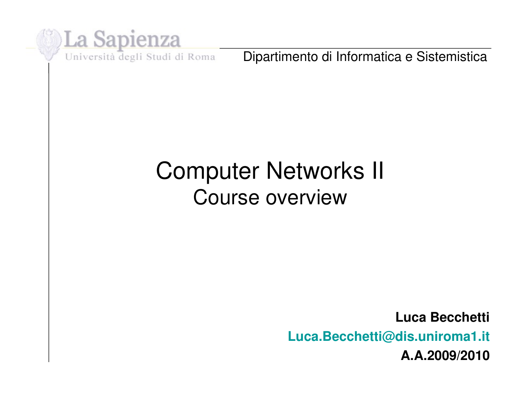

Dipartimento di Informatica e Sistemistica

# Computer Networks II Course overview

**Luca Becchetti Luca.Becchetti@dis.uniroma1.it A.A.2009/2010**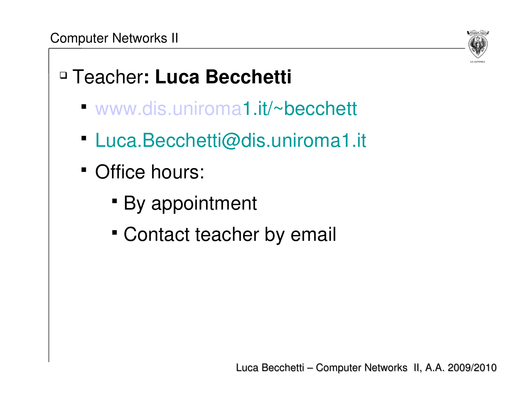

# Teacher**: Luca Becchetti**

- [www.dis.uniroma1](http://www.dis.uniroma/).it/~becchett
- Luca.Becchetti@dis.uniroma1.it
- Office hours:
	- By appointment
	- Contact teacher by email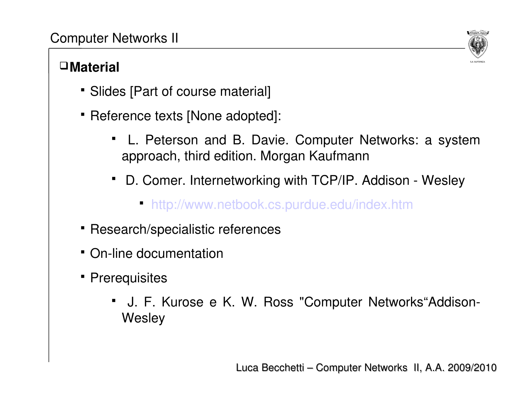#### **Material**



- Slides [Part of course material]
- Reference texts [None adopted]:
	- L. Peterson and B. Davie. Computer Networks: a system approach, third edition. Morgan Kaufmann
	- D. Comer. Internetworking with TCP/IP. Addison Wesley
		- <http://www.netbook.cs.purdue.edu/index.htm>
- Research/specialistic references
- On-line documentation
- Prerequisites
	- J. F. Kurose e K. W. Ross "Computer Networks"Addison-**Wesley**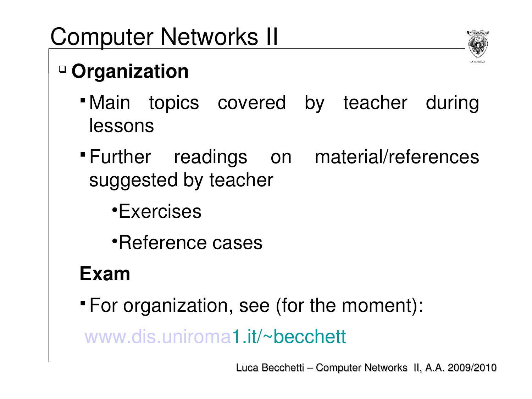# **Organization**



- Main topics covered by teacher during lessons
- Further readings on material/references suggested by teacher
	- •Exercises
	- •Reference cases

# **Exam**

For organization, see (for the moment):

[www.dis.uniroma1](http://www.dis.uniroma/).it/~becchett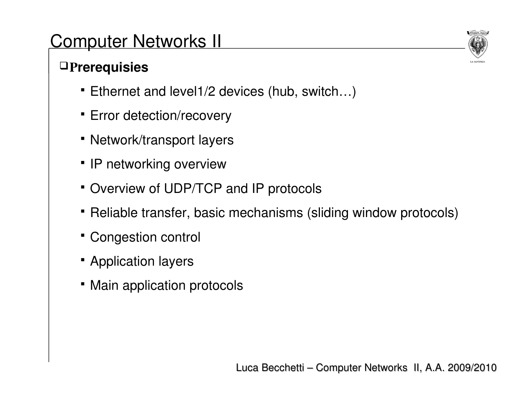### P**rerequisies**

- Ethernet and level1/2 devices (hub, switch…)
- **Error detection/recovery**
- Network/transport layers
- IP networking overview
- Overview of UDP/TCP and IP protocols
- Reliable transfer, basic mechanisms (sliding window protocols)
- Congestion control
- **Application layers**
- Main application protocols

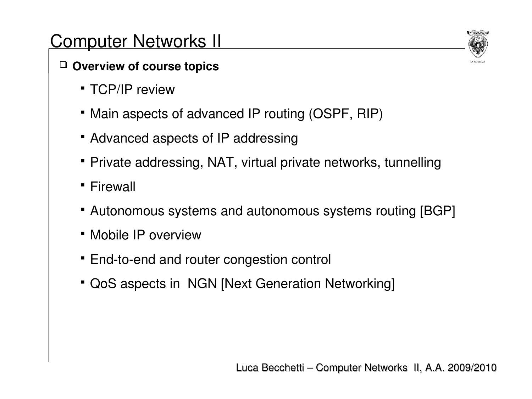### **Overview of course topics**

- TCP/IP review
- Main aspects of advanced IP routing (OSPF, RIP)
- Advanced aspects of IP addressing
- Private addressing, NAT, virtual private networks, tunnelling
- **Firewall**
- Autonomous systems and autonomous systems routing [BGP]
- Mobile IP overview
- End-to-end and router congestion control
- QoS aspects in NGN [Next Generation Networking]

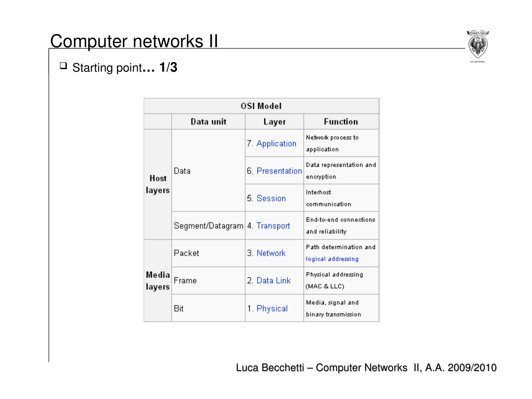

#### Starting point**… 1/3**

| OSI Model       |                               |                 |                                              |
|-----------------|-------------------------------|-----------------|----------------------------------------------|
|                 | Data unit                     | Layer           | <b>Function</b>                              |
| Host<br>layers  | Data                          | 7. Application  | Network process to<br>application            |
|                 |                               | 6. Presentation | Data representation and<br>encryption        |
|                 |                               | 5. Session      | Interhost<br>communication                   |
|                 | Segment/Datagram 4. Transport |                 | End-to-end connections<br>and reliability    |
| Media<br>layers | Packet                        | 3. Network      | Path determination and<br>logical addressing |
|                 | Frame                         | 2. Data Link    | Physical addressing<br>(MAC & LLC)           |
|                 | Bit                           | 1. Physical     | Media, signal and<br>binary transmission     |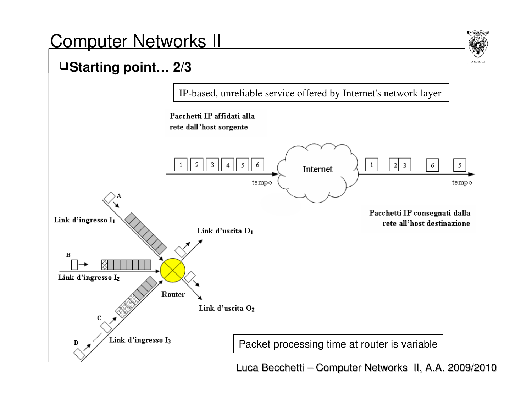

### **Starting point… 2/3**



Luca Becchetti – Computer Networks II, A.A. 2009/2010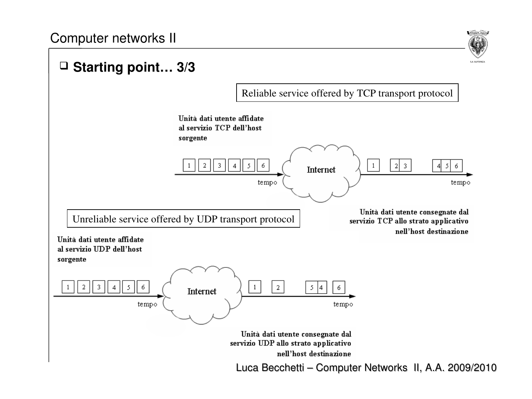